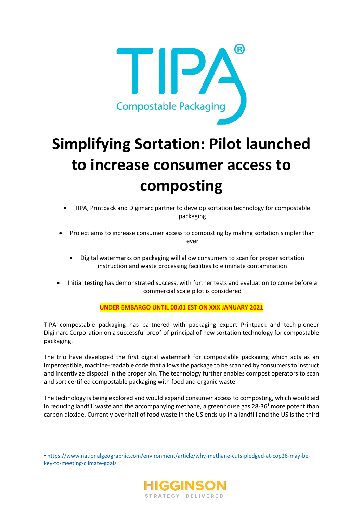

# **Simplifying Sortation: Pilot launched to increase consumer access to composting**

- TIPA, Printpack and Digimarc partner to develop sortation technology for compostable packaging
- Project aims to increase consumer access to composting by making sortation simpler than ever
	- Digital watermarks on packaging will allow consumers to scan for proper sortation instruction and waste processing facilities to eliminate contamination
- Initial testing has demonstrated success, with further tests and evaluation to come before a commercial scale pilot is considered

# **UNDER EMBARGO UNTIL 00.01 EST ON XXX JANUARY 2021**

TIPA compostable packaging has partnered with packaging expert Printpack and tech-pioneer Digimarc Corporation on a successful proof-of-principal of new sortation technology for compostable packaging.

The trio have developed the first digital watermark for compostable packaging which acts as an imperceptible, machine-readable code that allowsthe package to be scanned by consumersto instruct and incentivize disposal in the proper bin. The technology further enables compost operators to scan and sort certified compostable packaging with food and organic waste.

The technology is being explored and would expand consumer access to composting, which would aid in reducing landfill waste and the accompanying methane, a greenhouse gas  $28-36<sup>1</sup>$  more potent than carbon dioxide. Currently over half of food waste in the US ends up in a landfill and the US is the third

<sup>1</sup> [https://www.nationalgeographic.com/environment/article/why-methane-cuts-pledged-at-cop26-may-be](https://www.nationalgeographic.com/environment/article/why-methane-cuts-pledged-at-cop26-may-be-key-to-meeting-climate-goals)[key-to-meeting-climate-goals](https://www.nationalgeographic.com/environment/article/why-methane-cuts-pledged-at-cop26-may-be-key-to-meeting-climate-goals)

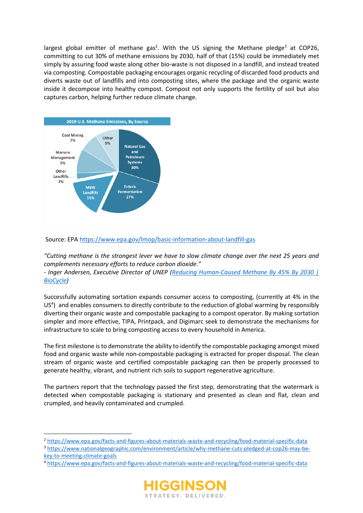largest global emitter of methane gas<sup>2</sup>. With the US signing the Methane pledge<sup>3</sup> at COP26, committing to cut 30% of methane emissions by 2030, half of that (15%) could be immediately met simply by assuring food waste along other bio-waste is not disposed in a landfill, and instead treated via composting. Compostable packaging encourages organic recycling of discarded food products and diverts waste out of landfills and into composting sites, where the package and the organic waste inside it decompose into healthy compost. Compost not only supports the fertility of soil but also captures carbon, helping further reduce climate change.



#### Source: EPA <https://www.epa.gov/lmop/basic-information-about-landfill-gas>

*"Cutting methane is the strongest lever we have to slow climate change over the next 25 years and complements necessary efforts to reduce carbon dioxide."* 

*- Inger Andersen, Executive Director of UNEP (Reducing [Human-Caused Methane By 45% By 2030 |](https://www.biocycle.net/reducing-human-caused-methane-by-45-by-2030/?utm_source=BioCycle+CONNECT&utm_campaign=a672a0e8c4-EMAIL_CAMPAIGN_2020_03_20_08_35_COPY_01&utm_medium=email&utm_term=0_8396f01c15-a672a0e8c4-513816291)  [BioCycle\)](https://www.biocycle.net/reducing-human-caused-methane-by-45-by-2030/?utm_source=BioCycle+CONNECT&utm_campaign=a672a0e8c4-EMAIL_CAMPAIGN_2020_03_20_08_35_COPY_01&utm_medium=email&utm_term=0_8396f01c15-a672a0e8c4-513816291)*

Successfully automating sortation expands consumer access to composting, (currently at 4% in the US<sup>4</sup>) and enables consumers to directly contribute to the reduction of global warming by responsibly diverting their organic waste and compostable packaging to a compost operator. By making sortation simpler and more effective, TIPA, Printpack, and Digimarc seek to demonstrate the mechanisms for infrastructure to scale to bring composting access to every household in America.

The first milestone is to demonstrate the ability to identify the compostable packaging amongst mixed food and organic waste while non-compostable packaging is extracted for proper disposal. The clean stream of organic waste and certified compostable packaging can then be properly processed to generate healthy, vibrant, and nutrient rich soils to support regenerative agriculture.

The partners report that the technology passed the first step, demonstrating that the watermark is detected when compostable packaging is stationary and presented as clean and flat, clean and crumpled, and heavily contaminated and crumpled.

<sup>4</sup> <https://www.epa.gov/facts-and-figures-about-materials-waste-and-recycling/food-material-specific-data>



<sup>2</sup> <https://www.epa.gov/facts-and-figures-about-materials-waste-and-recycling/food-material-specific-data> <sup>3</sup> [https://www.nationalgeographic.com/environment/article/why-methane-cuts-pledged-at-cop26-may-be](https://www.nationalgeographic.com/environment/article/why-methane-cuts-pledged-at-cop26-may-be-key-to-meeting-climate-goals)[key-to-meeting-climate-goals](https://www.nationalgeographic.com/environment/article/why-methane-cuts-pledged-at-cop26-may-be-key-to-meeting-climate-goals)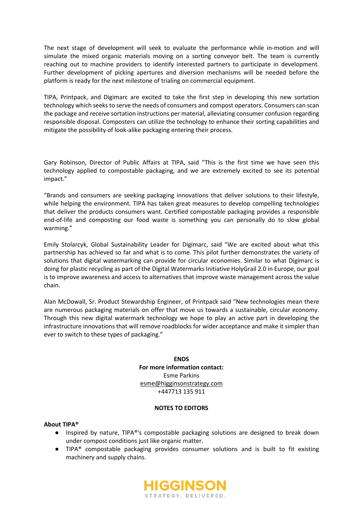The next stage of development will seek to evaluate the performance while in-motion and will simulate the mixed organic materials moving on a sorting conveyor belt. The team is currently reaching out to machine providers to identify interested partners to participate in development. Further development of picking apertures and diversion mechanisms will be needed before the platform is ready for the next milestone of trialing on commercial equipment.

TIPA, Printpack, and Digimarc are excited to take the first step in developing this new sortation technology which seeks to serve the needs of consumers and compost operators. Consumers can scan the package and receive sortation instructions per material, alleviating consumer confusion regarding responsible disposal. Composters can utilize the technology to enhance their sorting capabilities and mitigate the possibility of look-alike packaging entering their process.

Gary Robinson, Director of Public Affairs at TIPA, said "This is the first time we have seen this technology applied to compostable packaging, and we are extremely excited to see its potential impact."

"Brands and consumers are seeking packaging innovations that deliver solutions to their lifestyle, while helping the environment. TIPA has taken great measures to develop compelling technologies that deliver the products consumers want. Certified compostable packaging provides a responsible end-of-life and composting our food waste is something you can personally do to slow global warming."

Emily Stolarcyk, Global Sustainability Leader for Digimarc, said "We are excited about what this partnership has achieved so far and what is to come. This pilot further demonstrates the variety of solutions that digital watermarking can provide for circular economies. Similar to what Digimarc is doing for plastic recycling as part of the Digital Watermarks Initiative HolyGrail 2.0 in Europe, our goal is to improve awareness and access to alternatives that improve waste management across the value chain.

Alan McDowall, Sr. Product Stewardship Engineer, of Printpack said "New technologies mean there are numerous packaging materials on offer that move us towards a sustainable, circular economy. Through this new digital watermark technology we hope to play an active part in developing the infrastructure innovations that will remove roadblocks for wider acceptance and make it simpler than ever to switch to these types of packaging."

> **ENDS For more information contact:** Esme Parkins [esme@higginsonstrategy.com](mailto:esme@higginsonstrategy.com) +447713 135 911

#### **NOTES TO EDITORS**

#### **About TIPA®**

- Inspired by nature, TIPA®'s compostable packaging solutions are designed to break down under compost conditions just like organic matter.
- TIPA® compostable packaging provides consumer solutions and is built to fit existing machinery and supply chains.